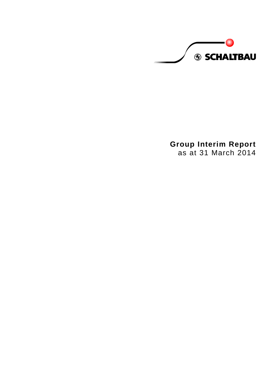**S SCHALTBAU** 

**Group Interim Report** as at 31 March 2014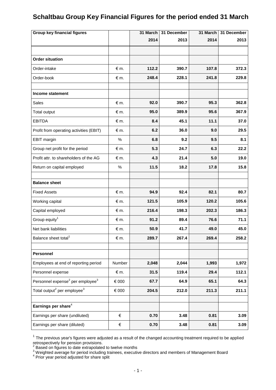# **Schaltbau Group Key Financial Figures for the period ended 31 March**

| <b>Group key financial figures</b>                       |               | 31 March | 31 December | 31 March | 31 December |
|----------------------------------------------------------|---------------|----------|-------------|----------|-------------|
|                                                          |               | 2014     | 2013        | 2014     | 2013        |
|                                                          |               |          |             |          |             |
| <b>Order situation</b>                                   |               |          |             |          |             |
| Order-intake                                             | $\epsilon$ m. | 112.2    | 390.7       | 107.8    | 372.3       |
| Order-book                                               | $\notin$ m.   | 248.4    | 228.1       | 241.8    | 229.8       |
|                                                          |               |          |             |          |             |
| Income statement                                         |               |          |             |          |             |
| <b>Sales</b>                                             | $\notin$ m.   | 92.0     | 390.7       | 95.3     | 362.8       |
| Total output                                             | $\notin$ m.   | 95.0     | 389.9       | 95.6     | 367.9       |
| <b>EBITDA</b>                                            | $\notin$ m.   | 8.4      | 45.1        | 11.1     | 37.0        |
| Profit from operating activities (EBIT)                  | $\notin$ m.   | 6.2      | 36.0        | 9.0      | 29.5        |
| <b>EBIT</b> margin                                       | $\%$          | 6.8      | 9.2         | 9.5      | 8.1         |
| Group net profit for the period                          | $\notin$ m.   | 5.3      | 24.7        | 6.3      | 22.2        |
| Profit attr. to shareholders of the AG                   | $\notin$ m.   | 4.3      | 21.4        | 5.0      | 19.0        |
| Return on capital employed                               | $\%$          | 11.5     | 18.2        | 17.8     | 15.8        |
| <b>Balance sheet</b>                                     |               |          |             |          |             |
| <b>Fixed Assets</b>                                      | $\epsilon$ m. | 94.9     | 92.4        | 82.1     | 80.7        |
| Working capital                                          | $\epsilon$ m. | 121.5    | 105.9       | 120.2    | 105.6       |
| Capital employed                                         | $\notin$ m.   | 216.4    | 198.3       | 202.3    | 186.3       |
| Group equity <sup>1</sup>                                | $\notin$ m.   | 91.2     | 89.4        | 76.6     | 71.1        |
| Net bank liabilities                                     | € m.          | 50.9     | 41.7        | 49.0     | 45.0        |
| Balance sheet total <sup>1</sup>                         | € m.          | 289.7    | 267.4       | 269.4    | 258.2       |
|                                                          |               |          |             |          |             |
| Personnel                                                |               |          |             |          |             |
| Employees at end of reporting period                     | Number        | 2,048    | 2,044       | 1,993    | 1,972       |
| Personnel expense                                        | $\notin$ m.   | 31.5     | 119.4       | 29.4     | 112.1       |
| Personnel expense <sup>2</sup> per employee <sup>3</sup> | € 000         | 67.7     | 64.9        | 65.1     | 64.3        |
| Total output <sup>2</sup> per employee <sup>3</sup>      | $\in$ 000     | 204.5    | 212.0       | 211.3    | 211.1       |
| Earnings per share <sup>4</sup>                          |               |          |             |          |             |
| Earnings per share (undiluted)                           | €             | 0.70     | 3.48        | 0.81     | 3.09        |
| Earnings per share (diluted)                             | $\in$         | 0.70     | 3.48        | 0.81     | 3.09        |

 $1$  The previous year's figures were adjusted as a result of the changed accounting treatment required to be applied

retrospectively for pension provisions.<br><sup>2</sup> Based on figures to date extrapolated to twelve months

 $^3$  Weighted average for period including trainees, executive directors and members of Management Board<br><sup>4</sup> Prior year period adjusted for share split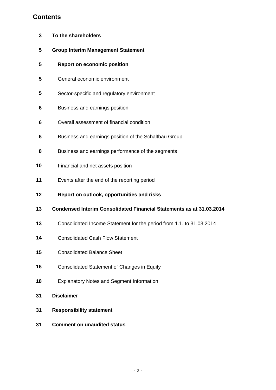# **Contents**

- **To the shareholders**
- **Group Interim Management Statement**
- **Report on economic position**
- General economic environment
- Sector-specific and regulatory environment
- Business and earnings position
- Overall assessment of financial condition
- Business and earnings position of the Schaltbau Group
- Business and earnings performance of the segments
- Financial and net assets position
- Events after the end of the reporting period
- **Report on outlook, opportunities and risks**
- **Condensed Interim Consolidated Financial Statements as at 31.03.2014**
- Consolidated Income Statement for the period from 1.1. to 31.03.2014
- Consolidated Cash Flow Statement
- Consolidated Balance Sheet
- Consolidated Statement of Changes in Equity
- Explanatory Notes and Segment Information
- **Disclaimer**
- **Responsibility statement**
- **Comment on unaudited status**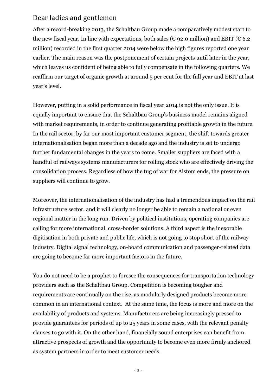# Dear ladies and gentlemen

After a record-breaking 2013, the Schaltbau Group made a comparatively modest start to the new fiscal year. In line with expectations, both sales ( $\epsilon$  92.0 million) and EBIT ( $\epsilon$  6.2 million) recorded in the first quarter 2014 were below the high figures reported one year earlier. The main reason was the postponement of certain projects until later in the year, which leaves us confident of being able to fully compensate in the following quarters. We reaffirm our target of organic growth at around 5 per cent for the full year and EBIT at last year's level.

However, putting in a solid performance in fiscal year 2014 is not the only issue. It is equally important to ensure that the Schaltbau Group's business model remains aligned with market requirements, in order to continue generating profitable growth in the future. In the rail sector, by far our most important customer segment, the shift towards greater internationalisation began more than a decade ago and the industry is set to undergo further fundamental changes in the years to come. Smaller suppliers are faced with a handful of railways systems manufacturers for rolling stock who are effectively driving the consolidation process. Regardless of how the tug of war for Alstom ends, the pressure on suppliers will continue to grow.

Moreover, the internationalisation of the industry has had a tremendous impact on the rail infrastructure sector, and it will clearly no longer be able to remain a national or even regional matter in the long run. Driven by political institutions, operating companies are calling for more international, cross-border solutions. A third aspect is the inexorable digitisation in both private and public life, which is not going to stop short of the railway industry. Digital signal technology, on-board communication and passenger-related data are going to become far more important factors in the future.

You do not need to be a prophet to foresee the consequences for transportation technology providers such as the Schaltbau Group. Competition is becoming tougher and requirements are continually on the rise, as modularly designed products become more common in an international context. At the same time, the focus is more and more on the availability of products and systems. Manufacturers are being increasingly pressed to provide guarantees for periods of up to 25 years in some cases, with the relevant penalty clauses to go with it. On the other hand, financially sound enterprises can benefit from attractive prospects of growth and the opportunity to become even more firmly anchored as system partners in order to meet customer needs.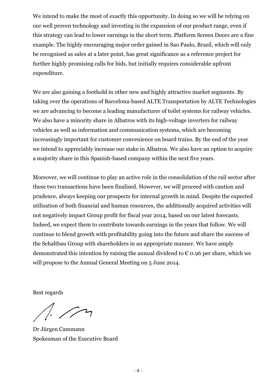We intend to make the most of exactly this opportunity. In doing so we will be relying on our well proven technology and investing in the expansion of our product range, even if this strategy can lead to lower earnings in the short term. Platform Screen Doors are a fine example. The highly encouraging major order gained in Sao Paulo, Brazil, which will only be recognised as sales at a later point, has great significance as a reference project for further highly promising calls for bids, but initially requires considerable upfront expenditure.

We are also gaining a foothold in other new and highly attractive market segments. By taking over the operations of Barcelona-based ALTE Transportation by ALTE Technologies we are advancing to become a leading manufacturer of toilet systems for railway vehicles. We also have a minority share in Albatros with its high-voltage inverters for railway vehicles as well as information and communication systems, which are becoming increasingly important for customer convenience on board trains. By the end of the year we intend to appreciably increase our stake in Albatros. We also have an option to acquire a majority share in this Spanish-based company within the next five years.

Moreover, we will continue to play an active role in the consolidation of the rail sector after these two transactions have been finalised. However, we will proceed with caution and prudence, always keeping our prospects for internal growth in mind. Despite the expected utilisation of both financial and human resources, the additionally acquired activities will not negatively impact Group profit for fiscal year 2014, based on our latest forecasts. Indeed, we expect them to contribute towards earnings in the years that follow. We will continue to blend growth with profitability going into the future and share the success of the Schaltbau Group with shareholders in an appropriate manner. We have amply demonstrated this intention by raising the annual dividend to  $\epsilon$  0.96 per share, which we will propose to the Annual General Meeting on 5 June 2014.

Best regards

 $1.72$ 

Dr Jürgen Cammann Spokesman of the Executive Board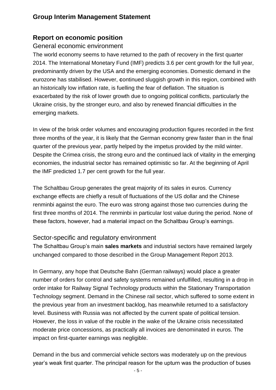# **Group Interim Management Statement**

# **Report on economic position**

# General economic environment

The world economy seems to have returned to the path of recovery in the first quarter 2014. The International Monetary Fund (IMF) predicts 3.6 per cent growth for the full year, predominantly driven by the USA and the emerging economies. Domestic demand in the eurozone has stabilised. However, **c**ontinued sluggish growth in this region, combined with an historically low inflation rate, is fuelling the fear of deflation. The situation is exacerbated by the risk of lower growth due to ongoing political conflicts, particularly the Ukraine crisis, by the stronger euro, and also by renewed financial difficulties in the emerging markets.

In view of the brisk order volumes and encouraging production figures recorded in the first three months of the year, it is likely that the German economy grew faster than in the final quarter of the previous year, partly helped by the impetus provided by the mild winter. Despite the Crimea crisis, the strong euro and the continued lack of vitality in the emerging economies, the industrial sector has remained optimistic so far. At the beginning of April the IMF predicted 1.7 per cent growth for the full year.

The Schaltbau Group generates the great majority of its sales in euros. Currency exchange effects are chiefly a result of fluctuations of the US dollar and the Chinese renminbi against the euro. The euro was strong against those two currencies during the first three months of 2014. The renminbi in particular lost value during the period. None of these factors, however, had a material impact on the Schaltbau Group's earnings.

# Sector-specific and regulatory environment

The Schaltbau Group's main **sales markets** and industrial sectors have remained largely unchanged compared to those described in the Group Management Report 2013.

In Germany, any hope that Deutsche Bahn (German railways) would place a greater number of orders for control and safety systems remained unfulfilled, resulting in a drop in order intake for Railway Signal Technology products within the Stationary Transportation Technology segment. Demand in the Chinese rail sector, which suffered to some extent in the previous year from an investment backlog, has meanwhile returned to a satisfactory level. Business with Russia was not affected by the current spate of political tension. However, the loss in value of the rouble in the wake of the Ukraine crisis necessitated moderate price concessions, as practically all invoices are denominated in euros. The impact on first-quarter earnings was negligible.

Demand in the bus and commercial vehicle sectors was moderately up on the previous year's weak first quarter. The principal reason for the upturn was the production of buses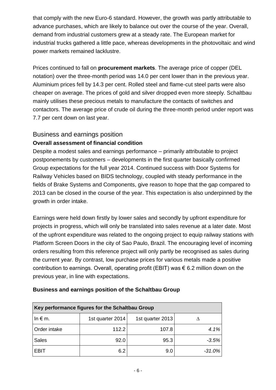that comply with the new Euro-6 standard. However, the growth was partly attributable to advance purchases, which are likely to balance out over the course of the year. Overall, demand from industrial customers grew at a steady rate. The European market for industrial trucks gathered a little pace, whereas developments in the photovoltaic and wind power markets remained lacklustre.

Prices continued to fall on **procurement markets**. The average price of copper (DEL notation) over the three-month period was 14.0 per cent lower than in the previous year. Aluminium prices fell by 14.3 per cent. Rolled steel and flame-cut steel parts were also cheaper on average. The prices of gold and silver dropped even more steeply. Schaltbau mainly utilises these precious metals to manufacture the contacts of switches and contactors. The average price of crude oil during the three-month period under report was 7.7 per cent down on last year.

## Business and earnings position

## **Overall assessment of financial condition**

Despite a modest sales and earnings performance – primarily attributable to project postponements by customers – developments in the first quarter basically confirmed Group expectations for the full year 2014. Continued success with Door Systems for Railway Vehicles based on BIDS technology, coupled with steady performance in the fields of Brake Systems and Components, give reason to hope that the gap compared to 2013 can be closed in the course of the year. This expectation is also underpinned by the growth in order intake.

Earnings were held down firstly by lower sales and secondly by upfront expenditure for projects in progress, which will only be translated into sales revenue at a later date. Most of the upfront expenditure was related to the ongoing project to equip railway stations with Platform Screen Doors in the city of Sao Paulo, Brazil. The encouraging level of incoming orders resulting from this reference project will only partly be recognised as sales during the current year. By contrast, low purchase prices for various metals made a positive contribution to earnings. Overall, operating profit (EBIT) was € 6.2 million down on the previous year, in line with expectations.

| Key performance figures for the Schaltbau Group |                  |                  |          |  |  |  |
|-------------------------------------------------|------------------|------------------|----------|--|--|--|
| In $\notin$ m.                                  | 1st quarter 2014 | 1st quarter 2013 |          |  |  |  |
| Order intake                                    | 112.2            | 107.8            | 4.1%     |  |  |  |
| <b>Sales</b>                                    | 92.0             | 95.3             | $-3.5%$  |  |  |  |
| <b>EBIT</b>                                     | 6.2              | 9.0              | $-31.0%$ |  |  |  |

## **Business and earnings position of the Schaltbau Group**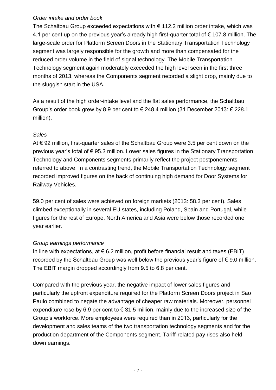## *Order intake and order book*

The Schaltbau Group exceeded expectations with  $\epsilon$  112.2 million order intake, which was 4.1 per cent up on the previous year's already high first-quarter total of € 107.8 million. The large-scale order for Platform Screen Doors in the Stationary Transportation Technology segment was largely responsible for the growth and more than compensated for the reduced order volume in the field of signal technology. The Mobile Transportation Technology segment again moderately exceeded the high level seen in the first three months of 2013, whereas the Components segment recorded a slight drop, mainly due to the sluggish start in the USA.

As a result of the high order-intake level and the flat sales performance, the Schaltbau Group's order book grew by 8.9 per cent to  $\epsilon$  248.4 million (31 December 2013:  $\epsilon$  228.1 million).

## *Sales*

At € 92 million, first-quarter sales of the Schaltbau Group were 3.5 per cent down on the previous year's total of € 95.3 million. Lower sales figures in the Stationary Transportation Technology and Components segments primarily reflect the project postponements referred to above. In a contrasting trend, the Mobile Transportation Technology segment recorded improved figures on the back of continuing high demand for Door Systems for Railway Vehicles.

59.0 per cent of sales were achieved on foreign markets (2013: 58.3 per cent). Sales climbed exceptionally in several EU states, including Poland, Spain and Portugal, while figures for the rest of Europe, North America and Asia were below those recorded one year earlier.

## *Group earnings performance*

In line with expectations, at  $\epsilon$  6.2 million, profit before financial result and taxes (EBIT) recorded by the Schaltbau Group was well below the previous vear's figure of  $\epsilon$  9.0 million. The EBIT margin dropped accordingly from 9.5 to 6.8 per cent.

Compared with the previous year, the negative impact of lower sales figures and particularly the upfront expenditure required for the Platform Screen Doors project in Sao Paulo combined to negate the advantage of cheaper raw materials. Moreover, personnel expenditure rose by 6.9 per cent to  $\epsilon$  31.5 million, mainly due to the increased size of the Group's workforce. More employees were required than in 2013, particularly for the development and sales teams of the two transportation technology segments and for the production department of the Components segment. Tariff-related pay rises also held down earnings.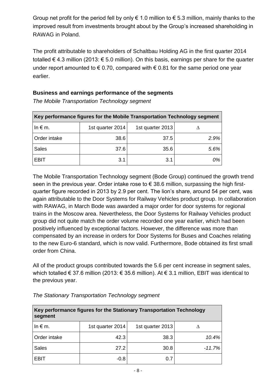Group net profit for the period fell by only  $\epsilon$  1.0 million to  $\epsilon$  5.3 million, mainly thanks to the improved result from investments brought about by the Group's increased shareholding in RAWAG in Poland.

The profit attributable to shareholders of Schaltbau Holding AG in the first quarter 2014 totalled € 4.3 million (2013: € 5.0 million). On this basis, earnings per share for the quarter under report amounted to  $\epsilon$  0.70, compared with  $\epsilon$  0.81 for the same period one year earlier.

## **Business and earnings performance of the segments**

| Key performance figures for the Mobile Transportation Technology segment |                  |                  |      |  |  |  |
|--------------------------------------------------------------------------|------------------|------------------|------|--|--|--|
| In $\epsilon$ m.                                                         | 1st quarter 2014 | 1st quarter 2013 |      |  |  |  |
| Order intake                                                             | 38.6             | 37.5             | 2.9% |  |  |  |
| <b>Sales</b>                                                             | 37.6             | 35.6             | 5.6% |  |  |  |
| <b>EBIT</b>                                                              | 3.1              | 3.1              | 0%   |  |  |  |

*The Mobile Transportation Technology segment*

The Mobile Transportation Technology segment (Bode Group) continued the growth trend seen in the previous year. Order intake rose to  $\epsilon$  38.6 million, surpassing the high firstquarter figure recorded in 2013 by 2.9 per cent. The lion's share, around 54 per cent, was again attributable to the Door Systems for Railway Vehicles product group. In collaboration with RAWAG, in March Bode was awarded a major order for door systems for regional trains in the Moscow area. Nevertheless, the Door Systems for Railway Vehicles product group did not quite match the order volume recorded one year earlier, which had been positively influenced by exceptional factors. However, the difference was more than compensated by an increase in orders for Door Systems for Buses and Coaches relating to the new Euro-6 standard, which is now valid. Furthermore, Bode obtained its first small order from China.

All of the product groups contributed towards the 5.6 per cent increase in segment sales, which totalled € 37.6 million (2013: € 35.6 million). At € 3.1 million, EBIT was identical to the previous year.

| Key performance figures for the Stationary Transportation Technology<br>segment |                  |                  |          |  |  |  |
|---------------------------------------------------------------------------------|------------------|------------------|----------|--|--|--|
| In $\notin$ m.                                                                  | 1st quarter 2014 | 1st quarter 2013 |          |  |  |  |
| Order intake                                                                    | 42.3             | 38.3             | 10.4%    |  |  |  |
| <b>Sales</b>                                                                    | 27.2             | 30.8             | $-11.7%$ |  |  |  |
| <b>EBIT</b>                                                                     | $-0.8$           | 0.7              |          |  |  |  |

### *The Stationary Transportation Technology segment*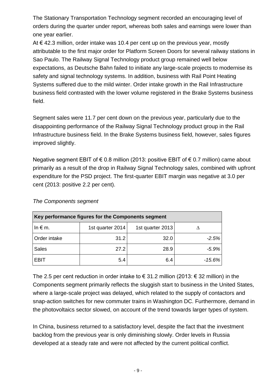The Stationary Transportation Technology segment recorded an encouraging level of orders during the quarter under report, whereas both sales and earnings were lower than one year earlier.

At € 42.3 million, order intake was 10.4 per cent up on the previous year, mostly attributable to the first major order for Platform Screen Doors for several railway stations in Sao Paulo. The Railway Signal Technology product group remained well below expectations, as Deutsche Bahn failed to initiate any large-scale projects to modernise its safety and signal technology systems. In addition, business with Rail Point Heating Systems suffered due to the mild winter. Order intake growth in the Rail Infrastructure business field contrasted with the lower volume registered in the Brake Systems business field.

Segment sales were 11.7 per cent down on the previous year, particularly due to the disappointing performance of the Railway Signal Technology product group in the Rail Infrastructure business field. In the Brake Systems business field, however, sales figures improved slightly.

Negative segment EBIT of € 0.8 million (2013: positive EBIT of € 0.7 million) came about primarily as a result of the drop in Railway Signal Technology sales, combined with upfront expenditure for the PSD project. The first-quarter EBIT margin was negative at 3.0 per cent (2013: positive 2.2 per cent).

| Key performance figures for the Components segment |                  |                  |          |  |  |  |
|----------------------------------------------------|------------------|------------------|----------|--|--|--|
| In $\epsilon$ m.                                   | 1st quarter 2014 | 1st quarter 2013 |          |  |  |  |
| Order intake                                       | 31.2             | 32.0             | $-2.5%$  |  |  |  |
| <b>Sales</b>                                       | 27.2             | 28.9             | $-5.9%$  |  |  |  |
| <b>EBIT</b>                                        | 5.4              | 6.4              | $-15.6%$ |  |  |  |

## *The Components segment*

The 2.5 per cent reduction in order intake to  $\epsilon$  31.2 million (2013:  $\epsilon$  32 million) in the Components segment primarily reflects the sluggish start to business in the United States, where a large-scale project was delayed, which related to the supply of contactors and snap-action switches for new commuter trains in Washington DC. Furthermore, demand in the photovoltaics sector slowed, on account of the trend towards larger types of system.

In China, business returned to a satisfactory level, despite the fact that the investment backlog from the previous year is only diminishing slowly. Order levels in Russia developed at a steady rate and were not affected by the current political conflict.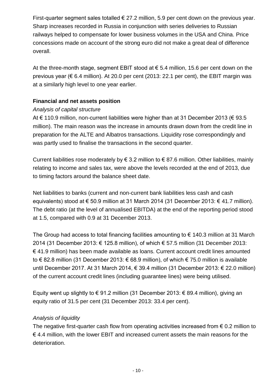First-quarter segment sales totalled  $\epsilon$  27.2 million, 5.9 per cent down on the previous year. Sharp increases recorded in Russia in conjunction with series deliveries to Russian railways helped to compensate for lower business volumes in the USA and China. Price concessions made on account of the strong euro did not make a great deal of difference overall.

At the three-month stage, segment EBIT stood at  $\epsilon$  5.4 million, 15.6 per cent down on the previous year ( $\epsilon$  6.4 million). At 20.0 per cent (2013: 22.1 per cent), the EBIT margin was at a similarly high level to one year earlier.

## **Financial and net assets position**

## *Analysis of capital structure*

At € 110.9 million, non-current liabilities were higher than at 31 December 2013 (€ 93.5 million). The main reason was the increase in amounts drawn down from the credit line in preparation for the ALTE and Albatros transactions. Liquidity rose correspondingly and was partly used to finalise the transactions in the second quarter.

Current liabilities rose moderately by  $\epsilon$  3.2 million to  $\epsilon$  87.6 million. Other liabilities, mainly relating to income and sales tax, were above the levels recorded at the end of 2013, due to timing factors around the balance sheet date.

Net liabilities to banks (current and non-current bank liabilities less cash and cash equivalents) stood at € 50.9 million at 31 March 2014 (31 December 2013: € 41.7 million). The debt ratio (at the level of annualised EBITDA) at the end of the reporting period stood at 1.5, compared with 0.9 at 31 December 2013.

The Group had access to total financing facilities amounting to  $\epsilon$  140.3 million at 31 March 2014 (31 December 2013: € 125.8 million), of which € 57.5 million (31 December 2013: € 41.9 million) has been made available as loans. Current account credit lines amounted to € 82.8 million (31 December 2013: € 68.9 million), of which € 75.0 million is available until December 2017. At 31 March 2014, € 39.4 million (31 December 2013:  $€ 22.0$  million) of the current account credit lines (including guarantee lines) were being utilised.

Equity went up slightly to €91.2 million (31 December 2013: €89.4 million), giving an equity ratio of 31.5 per cent (31 December 2013: 33.4 per cent).

## *Analysis of liquidity*

The negative first-quarter cash flow from operating activities increased from  $\epsilon$  0.2 million to € 4.4 million, with the lower EBIT and increased current assets the main reasons for the deterioration.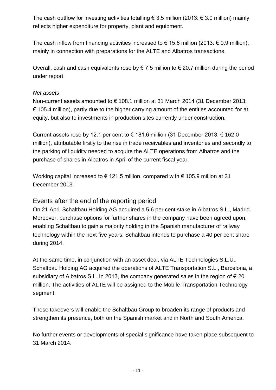The cash outflow for investing activities totalling  $\epsilon$  3.5 million (2013:  $\epsilon$  3.0 million) mainly reflects higher expenditure for property, plant and equipment.

The cash inflow from financing activities increased to  $\epsilon$  15.6 million (2013:  $\epsilon$  0.9 million), mainly in connection with preparations for the ALTE and Albatros transactions.

Overall, cash and cash equivalents rose by  $\epsilon$  7.5 million to  $\epsilon$  20.7 million during the period under report.

## *Net assets*

Non-current assets amounted to € 108.1 million at 31 March 2014 (31 December 2013:  $\epsilon$  105.4 million), partly due to the higher carrying amount of the entities accounted for at equity, but also to investments in production sites currently under construction.

Current assets rose by 12.1 per cent to  $\epsilon$  181.6 million (31 December 2013:  $\epsilon$  162.0 million), attributable firstly to the rise in trade receivables and inventories and secondly to the parking of liquidity needed to acquire the ALTE operations from Albatros and the purchase of shares in Albatros in April of the current fiscal year.

Working capital increased to € 121.5 million, compared with € 105.9 million at 31 December 2013.

# Events after the end of the reporting period

On 21 April Schaltbau Holding AG acquired a 5.6 per cent stake in Albatros S.L., Madrid. Moreover, purchase options for further shares in the company have been agreed upon, enabling Schaltbau to gain a majority holding in the Spanish manufacturer of railway technology within the next five years. Schaltbau intends to purchase a 40 per cent share during 2014.

At the same time, in conjunction with an asset deal, via ALTE Technologies S.L.U., Schaltbau Holding AG acquired the operations of ALTE Transportation S.L., Barcelona, a subsidiary of Albatros S.L. In 2013, the company generated sales in the region of  $\epsilon$  20 million. The activities of ALTE will be assigned to the Mobile Transportation Technology segment.

These takeovers will enable the Schaltbau Group to broaden its range of products and strengthen its presence, both on the Spanish market and in North and South America.

No further events or developments of special significance have taken place subsequent to 31 March 2014.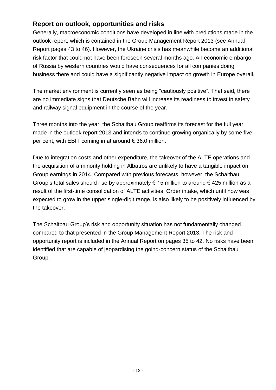# **Report on outlook, opportunities and risks**

Generally, macroeconomic conditions have developed in line with predictions made in the outlook report, which is contained in the Group Management Report 2013 (see Annual Report pages 43 to 46). However, the Ukraine crisis has meanwhile become an additional risk factor that could not have been foreseen several months ago. An economic embargo of Russia by western countries would have consequences for all companies doing business there and could have a significantly negative impact on growth in Europe overall.

The market environment is currently seen as being "cautiously positive". That said, there are no immediate signs that Deutsche Bahn will increase its readiness to invest in safety and railway signal equipment in the course of the year.

Three months into the year, the Schaltbau Group reaffirms its forecast for the full year made in the outlook report 2013 and intends to continue growing organically by some five per cent, with EBIT coming in at around  $\epsilon$  36.0 million.

Due to integration costs and other expenditure, the takeover of the ALTE operations and the acquisition of a minority holding in Albatros are unlikely to have a tangible impact on Group earnings in 2014. Compared with previous forecasts, however, the Schaltbau Group's total sales should rise by approximately  $\epsilon$  15 million to around  $\epsilon$  425 million as a result of the first-time consolidation of ALTE activities. Order intake, which until now was expected to grow in the upper single-digit range, is also likely to be positively influenced by the takeover.

The Schaltbau Group's risk and opportunity situation has not fundamentally changed compared to that presented in the Group Management Report 2013. The risk and opportunity report is included in the Annual Report on pages 35 to 42. No risks have been identified that are capable of jeopardising the going-concern status of the Schaltbau Group.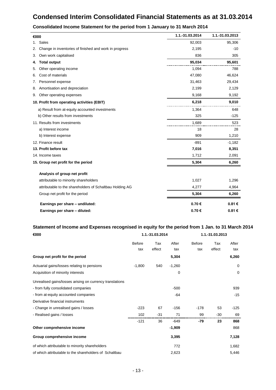# **Condensed Interim Consolidated Financial Statements as at 31.03.2014**

| €000                                                         | 1.1.-31.03.2014 | 1.1.-31.03.2013 |
|--------------------------------------------------------------|-----------------|-----------------|
| Sales<br>1.                                                  | 92,003          | 95,306          |
| Change in inventories of finished and work in progress<br>2. | 2,195           | $-10$           |
| Own work capitalised<br>3.                                   | 836             | 305             |
| <b>Total output</b><br>4.                                    | 95,034          | 95,601          |
| Other operating income<br>5.                                 | 1,094           | 788             |
| Cost of materials<br>6.                                      | 47,080          | 46,624          |
| Personnel expense<br>7.                                      | 31,463          | 29,434          |
| Amortisation and depreciation<br>8.                          | 2,199           | 2,129           |
| Other operating expenses<br>9.                               | 9,168           | 9,192           |
| 10. Profit from operating activities (EBIT)                  | 6,218           | 9,010           |
| a) Result from at-equity accounted investments               | 1,364           | 648             |
| b) Other results from investments                            | 325             | $-125$          |
| 11. Results from investments                                 | 1,689           | 523             |
| a) Interest income                                           | 18              | 28              |
| b) Interest expense                                          | 909             | 1,210           |
| 12. Finance result                                           | $-891$          | $-1,182$        |
| 13. Profit before tax                                        | 7,016           | 8,351           |
| 14. Income taxes                                             | 1,712           | 2,091           |
| 15. Group net profit for the period                          | 5,304           | 6,260           |
| Analysis of group net profit                                 |                 |                 |
| attributable to minority shareholders                        | 1,027           | 1,296           |
| attributable to the shareholders of Schaltbau Holding AG     | 4,277           | 4,964           |
| Group net profit for the period                              | 5,304           | 6,260           |
| Earnings per share - undiluted:                              | 0.70€           | 0.81€           |
| Earnings per share - diluted:                                | 0.70€           | 0.81€           |

#### **Consolidated Income Statement for the period from 1 January to 31 March 2014**

#### **Statement of Income and Expenses recognised in equity for the period from 1 Jan. to 31 March 2014**

| €000                                                     |               | 1.1.-31.03.2014 |          | 1.1.-31.03.2013 |        |             |
|----------------------------------------------------------|---------------|-----------------|----------|-----------------|--------|-------------|
|                                                          | <b>Before</b> | Tax             | After    | <b>Before</b>   | Tax    | After       |
|                                                          | tax           | effect          | tax      | tax             | effect | tax         |
| Group net profit for the period                          |               |                 | 5,304    |                 |        | 6,260       |
| Actuarial gains/losses relating to pensions              | $-1,800$      | 540             | $-1,260$ |                 |        | 0           |
| Acquisition of minority interests                        |               |                 | 0        |                 |        | $\mathbf 0$ |
| Unrealised gains/losses arising on currency translations |               |                 |          |                 |        |             |
| - from fully consolidated companies                      |               |                 | $-500$   |                 |        | 939         |
| - from at-equity accounted companies                     |               |                 | $-64$    |                 |        | $-15$       |
| Derivative financial instruments                         |               |                 |          |                 |        |             |
| - Change in unrealised gains / losses                    | $-223$        | 67              | $-156$   | $-178$          | 53     | $-125$      |
| - Realised gains / losses                                | 102           | $-31$           | 71       | 99              | -30    | 69          |
|                                                          | $-121$        | 36              | $-649$   | -79             | 23     | 868         |
| Other comprehensive income                               |               |                 | $-1,909$ |                 |        | 868         |
| Group comprehensive income                               |               |                 | 3,395    |                 |        | 7,128       |
| of which attributable to minority shareholders           |               |                 | 772      |                 |        | 1,682       |
| of which attributable to the shareholders of Schaltbau   |               |                 | 2,623    |                 |        | 5,446       |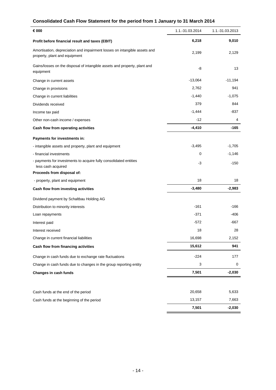## **Consolidated Cash Flow Statement for the period from 1 January to 31 March 2014**

| € 000                                                                                                      | 1.1.-31.03.2014 | 1.1.-31.03.2013 |
|------------------------------------------------------------------------------------------------------------|-----------------|-----------------|
| Profit before financial result and taxes (EBIT)                                                            | 6,218           | 9,010           |
| Amortisation, depreciation and impairment losses on intangible assets and<br>property, plant and equipment | 2,199           | 2,129           |
| Gains/losses on the disposal of intangible assets and property, plant and<br>equipment                     | -8              | 13              |
| Change in current assets                                                                                   | $-13,064$       | $-11,194$       |
| Change in provisions                                                                                       | 2,762           | 941             |
| Change in current liabilities                                                                              | $-1,440$        | $-1,075$        |
| Dividends received                                                                                         | 379             | 844             |
| Income tax paid                                                                                            | $-1,444$        | $-837$          |
| Other non-cash income / expenses                                                                           | $-12$           | 4               |
| Cash flow from operating activities                                                                        | $-4,410$        | $-165$          |
| Payments for investments in:                                                                               |                 |                 |
| - intangible assets and property, plant and equipment                                                      | $-3,495$        | $-1,705$        |
| - financial investments                                                                                    | 0               | $-1,146$        |
| - payments for investments to acquire fully consolidated entities<br>less cash acquired                    | -3              | $-150$          |
| Proceeds from disposal of:                                                                                 |                 |                 |
| - property, plant and equipment                                                                            | 18              | 18              |
| Cash flow from investing activities                                                                        | $-3,480$        | $-2,983$        |
| Dividend payment by Schaltbau Holding AG                                                                   |                 |                 |
| Distribution to minority interests                                                                         | $-161$          | -166            |
| Loan repayments                                                                                            | $-371$          | $-406$          |
| Interest paid                                                                                              | $-572$          | $-667$          |
| Interest received                                                                                          | 18              | 28              |
| Change in current financial liabilities                                                                    | 16,698          | 2,152           |
| Cash flow from financing activities                                                                        | 15,612          | 941             |
| Change in cash funds due to exchange rate fluctuations                                                     | $-224$          | 177             |
| Change in cash funds due to changes in the group reporting entity                                          | 3               | 0               |
| Changes in cash funds                                                                                      | 7,501           | $-2,030$        |
|                                                                                                            | 20,658          | 5,633           |
| Cash funds at the end of the period                                                                        | 13,157          | 7,663           |
| Cash funds at the beginning of the period                                                                  | 7,501           | $-2,030$        |
|                                                                                                            |                 |                 |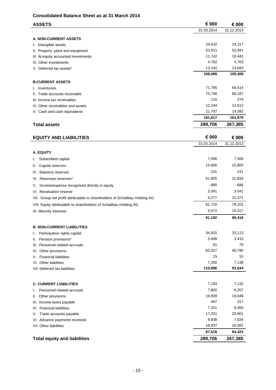#### **Consolidated Balance Sheet as at 31 March 2014**

| <b>ASSETS</b>                                                              | € 000      | € 000      |
|----------------------------------------------------------------------------|------------|------------|
|                                                                            | 31.03.2014 | 31.12.2013 |
| A. NON-CURRENT ASSETS                                                      |            |            |
| Intangible assets<br>ı.                                                    | 24,532     | 24,217     |
| II. Property, plant and equipment                                          | 53,911     | 52,941     |
| III. At-equity accounted investments                                       | 11,742     | 10,442     |
| IV. Other investments                                                      | 4,762      | 4,763      |
| V. Deferred tax assets*                                                    | 13,142     | 13,043     |
|                                                                            | 108,089    | 105,406    |
| <b>B.CURRENT ASSETS</b>                                                    |            |            |
| Inventories<br>I.                                                          | 71,795     | 68,514     |
| II. Trade accounts receivable                                              | 75,756     | 66,187     |
| III. Income tax receivables                                                | 115        | 274        |
| IV. Other receivables and assets                                           | 12,244     | 12,612     |
| V. Cash and cash equivalents                                               | 21,707     | 14,392     |
|                                                                            | 181,617    | 161,979    |
| <b>Total assets</b>                                                        | 289,706    | 267,385    |
|                                                                            |            |            |
| <b>EQUITY AND LIABILITIES</b>                                              | € 000      | € 000      |
|                                                                            | 31.03.2014 | 31.12.2013 |
| A. EQUITY                                                                  |            |            |
| Subscribed capital<br>ı.                                                   | 7,506      | 7,506      |
| Capital reserves<br>Ш.                                                     | 15,805     | 15,805     |
|                                                                            | 231        | 231        |
| III. Statutory reserves                                                    |            |            |
| IV. Revenues reserves*                                                     | 51,855     | 31,833     |
| Income/expense recognised directly in equity<br>V.                         | $-995$     | -686       |
| VI. Revaluation reserve                                                    | 3,041      | 3,041      |
| VII. Group net profit attributable to shareholders of Schaltbau Holding AG | 4,277      | 21,371     |
| VIII. Equity attributable to shareholders of Schaltbau Holding AG          | 81,720     | 79,101     |
| IX. Minority interests                                                     | 9,472      | 10,317     |
|                                                                            | 91,192     | 89,418     |
| <b>B. NON-CURRENT LIABILITIES</b>                                          |            |            |
| Participation rights capital<br>Ι.                                         | 34,815     | 33,113     |
| Pension provisions*<br>Ш.                                                  | 3,408      | 3,410      |
| III. Personnel-related accruals                                            | 81         | 78         |
| IV. Other provisions                                                       | 65,327     | 49,790     |
| <b>Financial liabilities</b><br>V.                                         | 15         | 15         |
| VI. Other liabilities                                                      | 7,250      | 7,138      |
| VII. Deferred tax liabilities                                              | 110,896    | 93,544     |
|                                                                            |            |            |
| <b>C. CURRENT LIABILITIES</b>                                              | 7,193      | 7,132      |
| Personnel-related accruals<br>I.                                           | 7,802      | 6,207      |
| Other provisions<br>Ш.                                                     | 19,909     | 19,048     |
| III. Income taxes payable                                                  | 467        | 317        |
| IV. Financial liabilities                                                  | 7,321      | 6,350      |
| Trade accounts payable<br>V.                                               | 17,251     | 20,961     |
| VI. Advance payments received                                              | 8,838      | 7,826      |
| VII. Other liabilities                                                     | 18,837     | 16,582     |
|                                                                            | 87,618     | 84,423     |
| <b>Total equity and liabilities</b>                                        | 289,706    | 267,385    |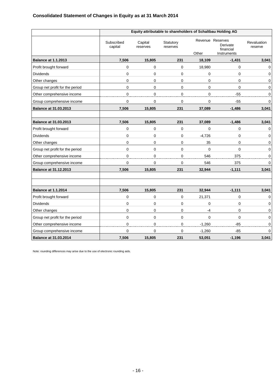## **Consolidated Statement of Changes in Equity as at 31 March 2014**

|                                 |                       | Equity attributable to shareholders of Schaltbau Holding AG |                       |             |                                                          |                        |  |  |  |
|---------------------------------|-----------------------|-------------------------------------------------------------|-----------------------|-------------|----------------------------------------------------------|------------------------|--|--|--|
|                                 | Subscribed<br>capital | Capital<br>reserves                                         | Statutory<br>reserves | Other       | Revenue Reserves<br>Derivate<br>financial<br>Instruments | Revaluation<br>reserve |  |  |  |
| <b>Balance at 1.1.2013</b>      | 7,506                 | 15,805                                                      | 231                   | 18,109      | $-1,431$                                                 | 3,041                  |  |  |  |
| Profit brought forward          | 0                     | $\boldsymbol{0}$                                            | $\mathbf 0$           | 18,980      | 0                                                        | 0                      |  |  |  |
| <b>Dividends</b>                | 0                     | 0                                                           | 0                     | 0           | $\mathbf 0$                                              | 0                      |  |  |  |
| Other changes                   | 0                     | $\mathbf 0$                                                 | $\mathbf 0$           | 0           | $\mathbf 0$                                              | 0                      |  |  |  |
| Group net profit for the period | 0                     | $\mathbf 0$                                                 | $\mathbf 0$           | $\mathbf 0$ | 0                                                        | 0                      |  |  |  |
| Other comprehensive income      | 0                     | $\pmb{0}$                                                   | $\mathbf 0$           | $\mathbf 0$ | $-55$                                                    | 0                      |  |  |  |
| Group comprehensive income      | 0                     | $\mathbf 0$                                                 | 0                     | 0           | $-55$                                                    | 0                      |  |  |  |
| <b>Balance at 31.03.2013</b>    | 7,506                 | 15,805                                                      | 231                   | 37,089      | $-1,486$                                                 | 3,041                  |  |  |  |
|                                 |                       |                                                             |                       |             |                                                          |                        |  |  |  |
| <b>Balance at 31.03.2013</b>    | 7,506                 | 15,805                                                      | 231                   | 37,089      | $-1,486$                                                 | 3,041                  |  |  |  |
| Profit brought forward          | 0                     | $\mathbf 0$                                                 | $\mathbf 0$           | $\mathbf 0$ | 0                                                        | $\Omega$               |  |  |  |
| <b>Dividends</b>                | 0                     | 0                                                           | 0                     | $-4,726$    | 0                                                        | 0                      |  |  |  |
| Other changes                   | 0                     | 0                                                           | 0                     | 35          | 0                                                        | 0                      |  |  |  |
| Group net profit for the period | 0                     | $\pmb{0}$                                                   | $\mathbf 0$           | $\mathbf 0$ | 0                                                        | 0                      |  |  |  |
| Other comprehensive income      | 0                     | $\pmb{0}$                                                   | 0                     | 546         | 375                                                      | 0                      |  |  |  |
| Group comprehensive income      | $\overline{0}$        | $\Omega$                                                    | $\mathbf 0$           | 546         | 375                                                      | $\Omega$               |  |  |  |
| <b>Balance at 31.12.2013</b>    | 7,506                 | 15,805                                                      | 231                   | 32,944      | $-1,111$                                                 | 3,041                  |  |  |  |
| <b>Balance at 1.1.2014</b>      | 7,506                 | 15,805                                                      | 231                   | 32,944      | $-1,111$                                                 | 3,041                  |  |  |  |
| Profit brought forward          | 0                     | 0                                                           | 0                     | 21,371      | 0                                                        | 0                      |  |  |  |
| <b>Dividends</b>                | 0                     | $\pmb{0}$                                                   | $\mathbf 0$           | 0           | 0                                                        | 0                      |  |  |  |
| Other changes                   | 0                     | $\pmb{0}$                                                   | $\mathbf 0$           | $-4$        | 0                                                        | 0                      |  |  |  |
| Group net profit for the period | 0                     | $\pmb{0}$                                                   | $\mathbf 0$           | $\mathbf 0$ | 0                                                        | 0                      |  |  |  |
| Other comprehensive income      | 0                     | $\pmb{0}$                                                   | 0                     | $-1,260$    | $-85$                                                    | 0                      |  |  |  |
| Group comprehensive income      | $\overline{0}$        | 0                                                           | 0                     | $-1,260$    | -85                                                      | 0                      |  |  |  |
| <b>Balance at 31.03.2014</b>    | 7,506                 | 15,805                                                      | 231                   | 53,051      | $-1,196$                                                 | 3,041                  |  |  |  |

Note: rounding differences may arise due to the use of electronic rounding aids.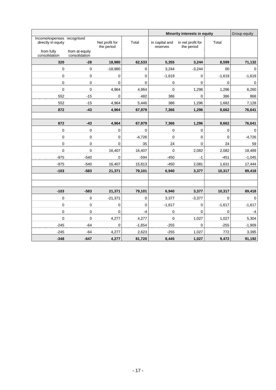|                                                  |                                 |                              |             | Minority interests in equity |                                 |                | Group equity |
|--------------------------------------------------|---------------------------------|------------------------------|-------------|------------------------------|---------------------------------|----------------|--------------|
| Income/expenses recognised<br>directly in equity |                                 | Net profit for<br>the period | Total       | in capital and<br>reserves   | in net profit for<br>the period | Total          |              |
| from fully<br>consolidation                      | from at-equity<br>consolidation |                              |             |                              |                                 |                |              |
| 320                                              | $-28$                           | 18,980                       | 62,533      | 5,355                        | 3,244                           | 8,599          | 71,132       |
| $\mathbf 0$                                      | $\mathbf{0}$                    | $-18,980$                    | $\mathbf 0$ | 3,244                        | $-3,244$                        | 00             | $\mathbf 0$  |
| $\mathbf 0$                                      | $\mathbf 0$                     | $\mathbf 0$                  | $\mathbf 0$ | $-1,619$                     | 0                               | $-1,619$       | $-1,619$     |
| 0                                                | 0                               | $\mathbf 0$                  | $\mathbf 0$ | 0                            | 0                               | $\overline{0}$ | 0            |
| 0                                                | $\mathbf 0$                     | 4,964                        | 4,964       | $\mathbf 0$                  | 1,296                           | 1,296          | 6,260        |
| 552                                              | $-15$                           | $\mathbf 0$                  | 482         | 386                          | $\mathsf{O}\xspace$             | 386            | 868          |
| 552                                              | $-15$                           | 4,964                        | 5,446       | 386                          | 1,296                           | 1,682          | 7,128        |
| 872                                              | $-43$                           | 4,964                        | 67,979      | 7,366                        | 1,296                           | 8,662          | 76,641       |
|                                                  |                                 |                              |             |                              |                                 |                |              |
| 872                                              | $-43$                           | 4,964                        | 67,979      | 7,366                        | 1,296                           | 8,662          | 76,641       |
| $\mathbf 0$                                      | $\mathbf 0$                     | $\mathbf 0$                  | $\mathbf 0$ | 0                            | $\mathbf 0$                     | $\mathbf 0$    | $\mathbf 0$  |
| $\pmb{0}$                                        | $\mathbf 0$                     | 0                            | $-4,726$    | $\mathbf 0$                  | 0                               | 0              | $-4,726$     |
| $\pmb{0}$                                        | $\mathbf 0$                     | $\mathsf 0$                  | 35          | 24                           | 0                               | 24             | 59           |
| $\mathbf 0$                                      | $\mathbf 0$                     | 16,407                       | 16,407      | $\overline{0}$               | 2,082                           | 2,082          | 18,489       |
| $-975$                                           | -540                            | 0                            | $-594$      | $-450$                       | $-1$                            | $-451$         | $-1,045$     |
| $-975$                                           | $-540$                          | 16,407                       | 15,813      | $-450$                       | 2,081                           | 1,631          | 17,444       |
| $-103$                                           | $-583$                          | 21,371                       | 79,101      | 6,940                        | 3,377                           | 10,317         | 89,418       |
|                                                  |                                 |                              |             |                              |                                 |                |              |
|                                                  |                                 |                              |             |                              |                                 |                |              |
| $-103$                                           | $-583$                          | 21,371                       | 79,101      | 6,940                        | 3,377                           | 10,317         | 89,418       |
| $\boldsymbol{0}$                                 | $\pmb{0}$                       | $-21,371$                    | $\mathbf 0$ | 3,377                        | $-3,377$                        | $\mathbf 0$    | $\pmb{0}$    |
| $\boldsymbol{0}$                                 | $\mathbf 0$                     | $\mathbf 0$                  | $\mathbf 0$ | $-1,617$                     | $\pmb{0}$                       | $-1,617$       | $-1,617$     |
| $\mathbf 0$                                      | $\mathbf 0$                     | $\mathbf 0$                  | $-4$        | 0                            | 0                               | $\mathbf 0$    | $-4$         |
| $\mathbf 0$                                      | $\mathbf 0$                     | 4,277                        | 4,277       | $\mathbf 0$                  | 1,027                           | 1,027          | 5,304        |
| $-245$                                           | $-64$                           | 0                            | $-1,654$    | $-255$                       | 0                               | $-255$         | $-1,909$     |
| $-245$                                           | $-64$                           | 4,277                        | 2,623       | $-255$                       | 1,027                           | 772            | 3,395        |
| $-348$                                           | $-647$                          | 4,277                        | 81,720      | 8,445                        | 1,027                           | 9,472          | 91,192       |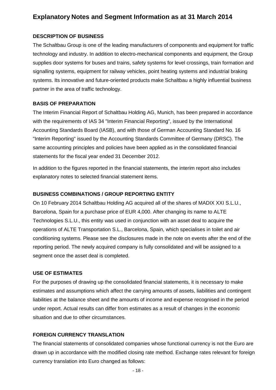# **Explanatory Notes and Segment Information as at 31 March 2014**

### **DESCRIPTION OF BUSINESS**

The Schaltbau Group is one of the leading manufacturers of components and equipment for traffic technology and industry. In addition to electro-mechanical components and equipment, the Group supplies door systems for buses and trains, safety systems for level crossings, train formation and signalling systems, equipment for railway vehicles, point heating systems and industrial braking systems. Its innovative and future-oriented products make Schaltbau a highly influential business partner in the area of traffic technology.

### **BASIS OF PREPARATION**

The Interim Financial Report of Schaltbau Holding AG, Munich, has been prepared in accordance with the requirements of IAS 34 "Interim Financial Reporting", issued by the International Accounting Standards Board (IASB), and with those of German Accounting Standard No. 16 "Interim Reporting" issued by the Accounting Standards Committee of Germany (DRSC). The same accounting principles and policies have been applied as in the consolidated financial statements for the fiscal year ended 31 December 2012.

In addition to the figures reported in the financial statements, the interim report also includes explanatory notes to selected financial statement items.

## **BUSINESS COMBINATIONS / GROUP REPORTING ENTITY**

On 10 February 2014 Schaltbau Holding AG acquired all of the shares of MADIX XXI S.L.U., Barcelona, Spain for a purchase price of EUR 4,000. After changing its name to ALTE Technologies S.L.U., this entity was used in conjunction with an asset deal to acquire the operations of ALTE Transportation S.L., Barcelona, Spain, which specialises in toilet and air conditioning systems. Please see the disclosures made in the note on events after the end of the reporting period. The newly acquired company is fully consolidated and will be assigned to a segment once the asset deal is completed.

### **USE OF ESTIMATES**

For the purposes of drawing up the consolidated financial statements, it is necessary to make estimates and assumptions which affect the carrying amounts of assets, liabilities and contingent liabilities at the balance sheet and the amounts of income and expense recognised in the period under report. Actual results can differ from estimates as a result of changes in the economic situation and due to other circumstances.

## **FOREIGN CURRENCY TRANSLATION**

The financial statements of consolidated companies whose functional currency is not the Euro are drawn up in accordance with the modified closing rate method. Exchange rates relevant for foreign currency translation into Euro changed as follows: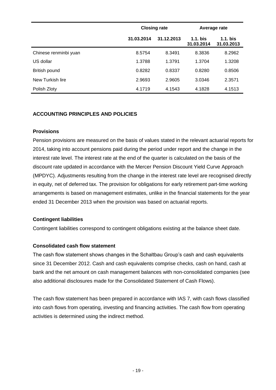|                       |            | <b>Closing rate</b> | Average rate             |                          |  |
|-----------------------|------------|---------------------|--------------------------|--------------------------|--|
|                       | 31.03.2014 | 31.12.2013          | $1.1.$ bis<br>31.03.2014 | $1.1.$ bis<br>31.03.2013 |  |
| Chinese renminbi yuan | 8.5754     | 8.3491              | 8.3836                   | 8.2962                   |  |
| US dollar             | 1.3788     | 1.3791              | 1.3704                   | 1.3208                   |  |
| British pound         | 0.8282     | 0.8337              | 0.8280                   | 0.8506                   |  |
| New Turkish lire      | 2.9693     | 2.9605              | 3.0346                   | 2.3571                   |  |
| Polish Zloty          | 4.1719     | 4.1543              | 4.1828                   | 4.1513                   |  |

## **ACCOUNTING PRINCIPLES AND POLICIES**

### **Provisions**

Pension provisions are measured on the basis of values stated in the relevant actuarial reports for 2014, taking into account pensions paid during the period under report and the change in the interest rate level. The interest rate at the end of the quarter is calculated on the basis of the discount rate updated in accordance with the Mercer Pension Discount Yield Curve Approach (MPDYC). Adjustments resulting from the change in the interest rate level are recognised directly in equity, net of deferred tax. The provision for obligations for early retirement part-time working arrangements is based on management estimates, unlike in the financial statements for the year ended 31 December 2013 when the provision was based on actuarial reports.

## **Contingent liabilities**

Contingent liabilities correspond to contingent obligations existing at the balance sheet date.

### **Consolidated cash flow statement**

The cash flow statement shows changes in the Schaltbau Group's cash and cash equivalents since 31 December 2012. Cash and cash equivalents comprise checks, cash on hand, cash at bank and the net amount on cash management balances with non-consolidated companies (see also additional disclosures made for the Consolidated Statement of Cash Flows).

The cash flow statement has been prepared in accordance with IAS 7, with cash flows classified into cash flows from operating, investing and financing activities. The cash flow from operating activities is determined using the indirect method.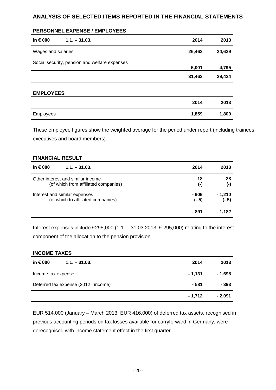## **ANALYSIS OF SELECTED ITEMS REPORTED IN THE FINANCIAL STATEMENTS**

#### **PERSONNEL EXPENSE / EMPLOYEES**

| in € 000           | $1.1 - 31.03.$                                | 2014   | 2013   |
|--------------------|-----------------------------------------------|--------|--------|
| Wages and salaries |                                               | 26,462 | 24,639 |
|                    | Social security, pension and welfare expenses | 5,001  | 4,795  |
|                    |                                               | 31,463 | 29,434 |
| <b>EMPLOYEES</b>   |                                               |        |        |
|                    |                                               | 2014   | 2013   |
| Employees          |                                               | 1,859  | 1,809  |

These employee figures show the weighted average for the period under report (including trainees, executives and board members).

#### **FINANCIAL RESULT**

| in $\epsilon$ 000<br>$1.1 - 31.03$ . | 2014      | 2013      |
|--------------------------------------|-----------|-----------|
| Other interest and similar income    | 18        | 28        |
| (of which from affiliated companies) | $(\cdot)$ | $(\cdot)$ |
| Interest and similar expenses        | - 909     | - 1,210   |
| (of which to affiliated companies)   | $(-5)$    | $(-5)$    |
|                                      | - 891     | - 1,182   |

Interest expenses include €295,000 (1.1. – 31.03.2013: € 295,000) relating to the interest component of the allocation to the pension provision.

#### **INCOME TAXES**

| in € 000<br>$1.1 - 31.03$ .         | 2014    | 2013     |
|-------------------------------------|---------|----------|
| Income tax expense                  | - 1.131 | - 1,698  |
| Deferred tax expense (2012: income) | - 581   | $-393$   |
|                                     | - 1,712 | $-2,091$ |

EUR 514,000 (January – March 2013: EUR 416,000) of deferred tax assets, recognised in previous accounting periods on tax losses available for carryforward in Germany, were derecognised with income statement effect in the first quarter.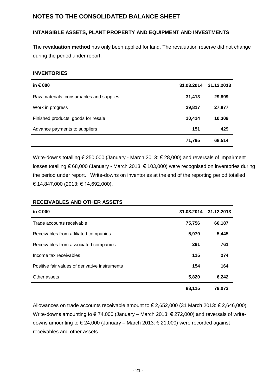# **NOTES TO THE CONSOLIDATED BALANCE SHEET**

## **INTANGIBLE ASSETS, PLANT PROPERTY AND EQUIPMENT AND INVESTMENTS**

The **revaluation method** has only been applied for land. The revaluation reserve did not change during the period under report.

#### **INVENTORIES**

| in $\epsilon$ 000                       | 31.03.2014 | 31.12.2013 |
|-----------------------------------------|------------|------------|
| Raw materials, consumables and supplies | 31,413     | 29,899     |
| Work in progress                        | 29,817     | 27,877     |
| Finished products, goods for resale     | 10,414     | 10,309     |
| Advance payments to suppliers           | 151        | 429        |
|                                         | 71,795     | 68,514     |

Write-downs totalling € 250,000 (January - March 2013: € 28,000) and reversals of impairment losses totalling € 68,000 (January - March 2013: € 103,000) were recognised on inventories during the period under report. Write-downs on inventories at the end of the reporting period totalled € 14,847,000 (2013: € 14,692,000).

#### **RECEIVABLES AND OTHER ASSETS**

| in $\epsilon$ 000                              | 31.03.2014 | 31.12.2013 |
|------------------------------------------------|------------|------------|
| Trade accounts receivable                      | 75,756     | 66,187     |
| Receivables from affiliated companies          | 5,979      | 5,445      |
| Receivables from associated companies          | 291        | 761        |
| Income tax receivables                         | 115        | 274        |
| Positive fair values of derivative instruments | 154        | 164        |
| Other assets                                   | 5,820      | 6,242      |
|                                                | 88,115     | 79,073     |

Allowances on trade accounts receivable amount to € 2,652,000 (31 March 2013: € 2,646,000). Write-downs amounting to € 74,000 (January – March 2013: € 272,000) and reversals of writedowns amounting to € 24,000 (January – March 2013: € 21,000) were recorded against receivables and other assets.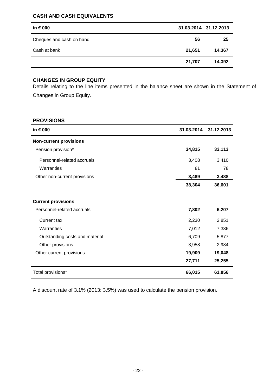#### **CASH AND CASH EQUIVALENTS**

| in $\epsilon$ 000        |        | 31.03.2014 31.12.2013 |
|--------------------------|--------|-----------------------|
| Cheques and cash on hand | 56     | 25                    |
| Cash at bank             | 21,651 | 14,367                |
|                          | 21,707 | 14,392                |

### **CHANGES IN GROUP EQUITY**

Details relating to the line items presented in the balance sheet are shown in the Statement of Changes in Group Equity.

#### **PROVISIONS**

| in € 000                       | 31.03.2014 | 31.12.2013 |
|--------------------------------|------------|------------|
| <b>Non-current provisions</b>  |            |            |
| Pension provision*             | 34,815     | 33,113     |
| Personnel-related accruals     | 3,408      | 3,410      |
| Warranties                     | 81         | 78         |
| Other non-current provisions   | 3,489      | 3,488      |
|                                | 38,304     | 36,601     |
|                                |            |            |
| <b>Current provisions</b>      |            |            |
| Personnel-related accruals     | 7,802      | 6,207      |
| <b>Current tax</b>             | 2,230      | 2,851      |
| Warranties                     | 7,012      | 7,336      |
| Outstanding costs and material | 6,709      | 5,877      |
| Other provisions               | 3,958      | 2,984      |
| Other current provisions       | 19,909     | 19,048     |
|                                | 27,711     | 25,255     |
| Total provisions*              | 66,015     | 61,856     |

A discount rate of 3.1% (2013: 3.5%) was used to calculate the pension provision.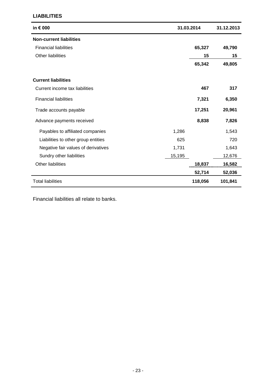#### **LIABILITIES**

| in € 000                            |        | 31.03.2014 | 31.12.2013 |  |
|-------------------------------------|--------|------------|------------|--|
| <b>Non-current liabilities</b>      |        |            |            |  |
| <b>Financial liabilities</b>        |        | 65,327     | 49,790     |  |
| Other liabilities                   |        | 15         | 15         |  |
|                                     |        | 65,342     | 49,805     |  |
| <b>Current liabilities</b>          |        |            |            |  |
| Current income tax liabilities      |        | 467        | 317        |  |
| <b>Financial liabilities</b>        |        | 7,321      | 6,350      |  |
| Trade accounts payable              |        | 17,251     | 20,961     |  |
| Advance payments received           |        | 8,838      | 7,826      |  |
| Payables to affiliated companies    | 1,286  |            | 1,543      |  |
| Liabilities to other group entities | 625    |            | 720        |  |
| Negative fair values of derivatives | 1,731  |            | 1,643      |  |
| Sundry other liabilities            | 15,195 |            | 12,676     |  |
| Other liabilities                   |        | 18,837     | 16,582     |  |
|                                     |        | 52,714     | 52,036     |  |
| <b>Total liabilities</b>            |        | 118,056    | 101,841    |  |

Financial liabilities all relate to banks.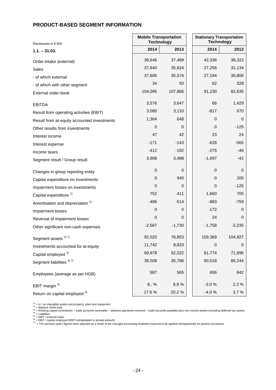### **PRODUCT-BASED SEGMENT INFORMATION**

| Disclosures in € 000                        | <b>Mobile Transportation</b><br><b>Technology</b> |          | <b>Stationary Transportation</b><br><b>Technology</b> |             |
|---------------------------------------------|---------------------------------------------------|----------|-------------------------------------------------------|-------------|
| $1.1 - 31.03.$                              | 2014                                              | 2013     | 2014                                                  | 2013        |
| Order-intake (external)                     | 38,646                                            | 37,489   | 42,336                                                | 38,322      |
| <b>Sales</b>                                | 37,640                                            | 35,624   | 27,256                                                | 31,134      |
| - of which external                         | 37,606                                            | 35,574   | 27,194                                                | 30,806      |
| - of which with other segment               | 34                                                | 50       | 62                                                    | 328         |
| External order-book                         | 104,095                                           | 107,866  | 91,230                                                | 82,635      |
| <b>EBITDA</b>                               | 3,576                                             | 3,647    | 66                                                    | 1,429       |
| Result from operating activities (EBIT)     | 3,080                                             | 3,133    | $-817$                                                | 670         |
| Result from at-equity accounted investments | 1,364                                             | 648      | $\mathbf 0$                                           | $\mathbf 0$ |
| Other results from investments              | 0                                                 | 0        | 0                                                     | $-125$      |
| Interest income                             | 47                                                | 42       | 23                                                    | 24          |
| Interest expense                            | $-171$                                            | $-143$   | $-628$                                                | $-565$      |
| Income taxes                                | $-412$                                            | $-192$   | $-275$                                                | -46         |
| Segment result / Group result               | 3,908                                             | 3,488    | $-1,697$                                              | $-42$       |
| Changes in group reporting entity           | $\pmb{0}$                                         | 0        | 0                                                     | $\mathbf 0$ |
| Capital expenditure on investments          | $\mathbf 0$                                       | 940      | 0                                                     | 205         |
| Impairment losses on investments            | $\mathbf 0$                                       | 0        | 0                                                     | $-125$      |
| Capital expenditure <sup>1)</sup>           | 752                                               | 411      | 1,660                                                 | 705         |
| Amortisation and depreciation <sup>1)</sup> | $-496$                                            | $-514$   | $-883$                                                | $-759$      |
| Impairment losses                           | 0                                                 | 0        | $-172$                                                | 0           |
| Reversal of impairment losses               | 0                                                 | 0        | 24                                                    | $\mathbf 0$ |
| Other significant non-cash expenses         | $-2,587$                                          | $-1,730$ | $-1,758$                                              | $-2,235$    |
| Segment assets <sup>2) 7)</sup>             | 92,020                                            | 78,853   | 109,369                                               | 104,827     |
| Investments accounted for at-equity         | 11,742                                            | 8,833    | $\boldsymbol{0}$                                      | $\mathbf 0$ |
| Capital employed 3)                         | 69,878                                            | 62,022   | 81,774                                                | 71,896      |
| Segment liabilities <sup>4)7)</sup>         | 38,508                                            | 35,786   | 90,518                                                | 86,244      |
| Employees (average as per HGB)              | 587                                               | 565      | 656                                                   | 642         |
| EBIT margin <sup>5)</sup>                   | $8,  \%$                                          | 8.8%     | $-3.0%$                                               | 2.2 %       |
| Return on capital employed 6)               | 17.6%                                             | 20.2%    | $-4.0%$                                               | 3.7%        |

[1] = in / on intangible assets and property, plant and equipment<br><sup>-2)</sup> = Balance sheet total<br><sup>-3)</sup> = Working capital (inventories + trade accounts receivable – advance payments received – trade accounts payable) plus non-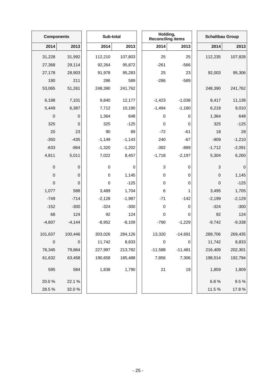|            | <b>Components</b> |  | Sub-total   |          | Holding,<br><b>Reconciling items</b> |           | <b>Schaltbau Group</b> |             |
|------------|-------------------|--|-------------|----------|--------------------------------------|-----------|------------------------|-------------|
| 2014       | 2013              |  | 2014        | 2013     | 2014                                 | 2013      | 2014                   | 2013        |
| 31,228     | 31,992            |  | 112,210     | 107,803  | 25                                   | 25        | 112,235                | 107,828     |
| 27,368     | 29,114            |  | 92,264      | 95,872   | $-261$                               | $-566$    |                        |             |
| 27,178     | 28,903            |  | 91,978      | 95,283   | 25                                   | 23        | 92,003                 | 95,306      |
| 190        | 211               |  | 286         | 589      | $-286$                               | $-589$    |                        |             |
| 53,065     | 51,261            |  | 248,390     | 241,762  |                                      |           | 248,390                | 241,762     |
| 6,198      | 7,101             |  | 9,840       | 12,177   | $-1,423$                             | $-1,038$  | 8,417                  | 11,139      |
| 5,449      | 6,387             |  | 7,712       | 10,190   | $-1,494$                             | $-1,180$  | 6,218                  | 9,010       |
| $\pmb{0}$  | 0                 |  | 1,364       | 648      | 0                                    | 0         | 1,364                  | 648         |
| 325        | $\mathbf 0$       |  | 325         | $-125$   | $\pmb{0}$                            | 0         | 325                    | $-125$      |
| 20         | 23                |  | 90          | 89       | $-72$                                | $-61$     | 18                     | 28          |
| $-350$     | $-435$            |  | $-1,149$    | $-1,143$ | 240                                  | $-67$     | $-909$                 | $-1,210$    |
| $-633$     | $-964$            |  | $-1,320$    | $-1,202$ | $-392$                               | $-889$    | $-1,712$               | $-2,091$    |
| 4,811      | 5,011             |  | 7,022       | 8,457    | $-1,718$                             | $-2,197$  | 5,304                  | 6,260       |
| $\mbox{O}$ | 0                 |  | $\mathbf 0$ | 0        | 3                                    | 0         | 3                      | $\mathbf 0$ |
| $\pmb{0}$  | 0                 |  | $\mathbf 0$ | 1,145    | $\pmb{0}$                            | 0         | $\boldsymbol{0}$       | 1,145       |
| 0          | 0                 |  | $\mathbf 0$ | $-125$   | $\pmb{0}$                            | 0         | 0                      | $-125$      |
| 1,077      | 588               |  | 3,489       | 1,704    | 6                                    | 1         | 3,495                  | 1,705       |
| $-749$     | $-714$            |  | $-2,128$    | $-1,987$ | $-71$                                | $-142$    | $-2,199$               | $-2,129$    |
| $-152$     | $-300$            |  | $-324$      | $-300$   | $\pmb{0}$                            | 0         | $-324$                 | $-300$      |
| 68         | 124               |  | 92          | 124      | $\pmb{0}$                            | 0         | 92                     | 124         |
| $-4,607$   | $-4,144$          |  | $-8,952$    | $-8,109$ | $-790$                               | $-1,229$  | $-9,742$               | $-9,338$    |
| 101,637    | 100,446           |  | 303,026     | 284,126  | 13,320                               | $-14,691$ | 289,706                | 269,435     |
| $\mbox{O}$ | $\mathbf 0$       |  | 11,742      | 8,833    | $\pmb{0}$                            | 0         | 11,742                 | 8,833       |
| 76,345     | 79,864            |  | 227,997     | 213,782  | $-11,588$                            | $-11,481$ | 216,409                | 202,301     |
| 61,632     | 63,458            |  | 190,658     | 185,488  | 7,856                                | 7,306     | 198,514                | 192,794     |
| 595        | 584               |  | 1,838       | 1,790    | 21                                   | 19        | 1,859                  | 1,809       |
| 20.0%      | 22.1%             |  |             |          |                                      |           | 6.8%                   | 9.5%        |
| 28.5 %     | 32.0%             |  |             |          |                                      |           | 11.5%                  | 17.8%       |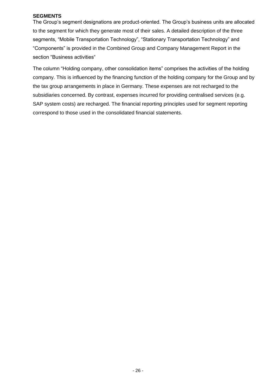#### **SEGMENTS**

The Group's segment designations are product-oriented. The Group's business units are allocated to the segment for which they generate most of their sales. A detailed description of the three segments, "Mobile Transportation Technology", "Stationary Transportation Technology" and "Components" is provided in the Combined Group and Company Management Report in the section "Business activities"

The column "Holding company, other consolidation items" comprises the activities of the holding company. This is influenced by the financing function of the holding company for the Group and by the tax group arrangements in place in Germany. These expenses are not recharged to the subsidiaries concerned. By contrast, expenses incurred for providing centralised services (e.g. SAP system costs) are recharged. The financial reporting principles used for segment reporting correspond to those used in the consolidated financial statements.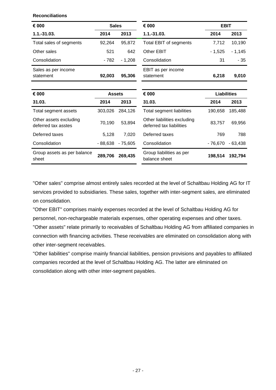**Reconciliations**

| € 000                                         | <b>Sales</b>  |           | € 000                                                   | <b>EBIT</b>        |           |
|-----------------------------------------------|---------------|-----------|---------------------------------------------------------|--------------------|-----------|
| $1.1 - 31.03.$                                | 2014          | 2013      | $1.1 - 31.03.$                                          | 2014               | 2013      |
| Total sales of segments                       | 92,264        | 95,872    | Total EBIT of segments                                  | 7,712              | 10,190    |
| Other sales                                   | 521           | 642       | Other EBIT                                              | $-1,525$           | $-1,145$  |
| Consolidation                                 | - 782         | $-1,208$  | Consolidation                                           | 31                 | - 35      |
| Sales as per income<br>statement              | 92,003        | 95,306    | EBIT as per income<br>statement                         | 6,218              | 9,010     |
|                                               |               |           |                                                         |                    |           |
| € 000                                         | <b>Assets</b> |           | € 000                                                   | <b>Liabilities</b> |           |
| 31.03.                                        | 2014          | 2013      | 31.03.                                                  | 2014               | 2013      |
| Total segment assets                          | 303,026       | 284,126   | Total segment liabilities                               | 190,658            | 185,488   |
| Other assets excluding<br>deferred tax asstes | 70,190        | 53,894    | Other liabilities excluding<br>deferred tax liabilities | 83,757             | 69,956    |
| Deferred taxes                                | 5,128         | 7,020     | Deferred taxes                                          | 769                | 788       |
| Consolidation                                 | $-88,638$     | $-75,605$ | Consolidation                                           | $-76,670$          | $-63,438$ |
| Group assets as per balance<br>sheet          | 289,706       | 269,435   | Group liabilities as per<br>balance sheet               | 198,514            | 192,794   |

"Other sales" comprise almost entirely sales recorded at the level of Schaltbau Holding AG for IT services provided to subsidiaries. These sales, together with inter-segment sales, are eliminated on consolidation.

"Other EBIT" comprises mainly expenses recorded at the level of Schaltbau Holding AG for personnel, non-rechargeable materials expenses, other operating expenses and other taxes. "Other assets" relate primarily to receivables of Schaltbau Holding AG from affiliated companies in connection with financing activities. These receivables are eliminated on consolidation along with other inter-segment receivables.

"Other liabilities" comprise mainly financial liabilities, pension provisions and payables to affiliated companies recorded at the level of Schaltbau Holding AG. The latter are eliminated on consolidation along with other inter-segment payables.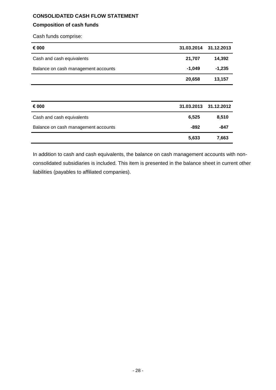## **CONSOLIDATED CASH FLOW STATEMENT**

### **Composition of cash funds**

Cash funds comprise:

| € 000                               | 31.03.2014 31.12.2013 |          |
|-------------------------------------|-----------------------|----------|
| Cash and cash equivalents           | 21,707                | 14.392   |
| Balance on cash management accounts | $-1.049$              | $-1.235$ |
|                                     | 20,658                | 13,157   |

| € 000                               |       | 31.03.2013 31.12.2012 |
|-------------------------------------|-------|-----------------------|
| Cash and cash equivalents           | 6,525 | 8.510                 |
| Balance on cash management accounts | -892  | -847                  |
|                                     | 5,633 | 7,663                 |

In addition to cash and cash equivalents, the balance on cash management accounts with nonconsolidated subsidiaries is included. This item is presented in the balance sheet in current other liabilities (payables to affiliated companies).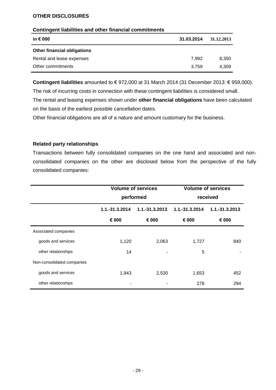#### **OTHER DISCLOSURES**

#### **Contingent liabilities and other financial commitments**

| in € 000                           | 31.03.2014 | 31.12.2013 |
|------------------------------------|------------|------------|
| <b>Other financial obligations</b> |            |            |
| Rental and lease expenses          | 7.992      | 8.350      |
| Other commitments                  | 3.759      | 4.309      |

**Contingent liabilities** amounted to € 972,000 at 31 March 2014 (31 December 2013: € 959,000).

The risk of incurring costs in connection with these contingent liabilities is considered small.

The rental and leasing expenses shown under **other financial obligations** have been calculated on the basis of the earliest possible cancellation dates.

Other financial obligations are all of a nature and amount customary for the business.

#### **Related party relationships**

Transactions between fully consolidated companies on the one hand and associated and nonconsolidated companies on the other are disclosed below from the perspective of the fully consolidated companies:

|                            | <b>Volume of services</b><br>performed |                | <b>Volume of services</b><br>received |                |
|----------------------------|----------------------------------------|----------------|---------------------------------------|----------------|
|                            |                                        |                |                                       |                |
|                            | 1.1.-31.3.2014                         | 1.1.-31.3.2013 | 1.1.-31.3.2014                        | 1.1.-31.3.2013 |
|                            | € 000                                  | € 000          | € 000                                 | € 000          |
| Associated companies       |                                        |                |                                       |                |
| goods and services         | 1,120                                  | 2,063          | 1,727                                 | 840            |
| other relationships        | 14                                     |                | 5                                     |                |
| Non-consolidated companies |                                        |                |                                       |                |
| goods and services         | 1,943                                  | 2,530          | 1,653                                 | 452            |
| other relationships        |                                        |                | 278                                   | 294            |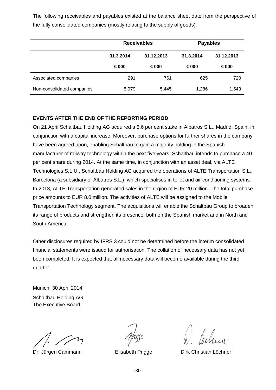The following receivables and payables existed at the balance sheet date from the perspective of the fully consolidated companies (mostly relating to the supply of goods).

|                            | <b>Receivables</b> |            | <b>Payables</b> |            |
|----------------------------|--------------------|------------|-----------------|------------|
|                            | 31.3.2014          | 31.12.2013 | 31.3.2014       | 31.12.2013 |
|                            | € 000              | € 000      | € 000           | € 000      |
| Associated companies       | 291                | 761        | 625             | 720        |
| Non-consolidated companies | 5,979              | 5,445      | 1,286           | 1,543      |

### **EVENTS AFTER THE END OF THE REPORTING PERIOD**

On 21 April Schaltbau Holding AG acquired a 5.6 per cent stake in Albatros S.L., Madrid, Spain, in conjunction with a capital increase. Moreover, purchase options for further shares in the company have been agreed upon, enabling Schaltbau to gain a majority holding in the Spanish manufacturer of railway technology within the next five years. Schaltbau intends to purchase a 40 per cent share during 2014. At the same time, in conjunction with an asset deal, via ALTE Technologies S.L.U., Schaltbau Holding AG acquired the operations of ALTE Transportation S.L., Barcelona (a subsidiary of Albatros S.L.), which specialises in toilet and air conditioning systems. In 2013, ALTE Transportation generated sales in the region of EUR 20 million. The total purchase price amounts to EUR 8.0 million. The activities of ALTE will be assigned to the Mobile Transportation Technology segment. The acquisitions will enable the Schaltbau Group to broaden its range of products and strengthen its presence, both on the Spanish market and in North and South America.

Other disclosures required by IFRS 3 could not be determined before the interim consolidated financial statements were issued for authorisation. The collation of necessary data has not yet been completed. It is expected that all necessary data will become available during the third quarter.

Munich, 30 April 2014 Schaltbau Holding AG The Executive Board

Dr. Jürgen Cammann **Elisabeth Prigge** Dirk Christian Löchner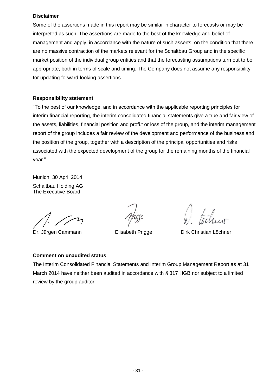#### **Disclaimer**

Some of the assertions made in this report may be similar in character to forecasts or may be interpreted as such. The assertions are made to the best of the knowledge and belief of management and apply, in accordance with the nature of such asserts, on the condition that there are no massive contraction of the markets relevant for the Schaltbau Group and in the specific market position of the individual group entities and that the forecasting assumptions turn out to be appropriate, both in terms of scale and timing. The Company does not assume any responsibility for updating forward-looking assertions.

#### **Responsibility statement**

"To the best of our knowledge, and in accordance with the applicable reporting principles for interim financial reporting, the interim consolidated financial statements give a true and fair view of the assets, liabilities, financial position and profi.t or loss of the group, and the interim management report of the group includes a fair review of the development and performance of the business and the position of the group, together with a description of the principal opportunities and risks associated with the expected development of the group for the remaining months of the financial year."

Munich, 30 April 2014 Schaltbau Holding AG The Executive Board

Dr. Jürgen Cammann **Elisabeth Prigge** Dirk Christian Löchner

### **Comment on unaudited status**

The Interim Consolidated Financial Statements and Interim Group Management Report as at 31 March 2014 have neither been audited in accordance with § 317 HGB nor subject to a limited review by the group auditor.